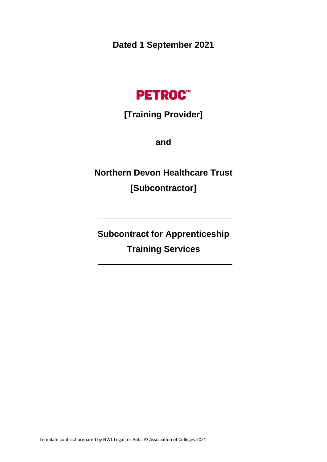**Dated 1 September 2021**



## **[Training Provider]**

**and**

**Northern Devon Healthcare Trust [Subcontractor]**

**Subcontract for Apprenticeship Training Services**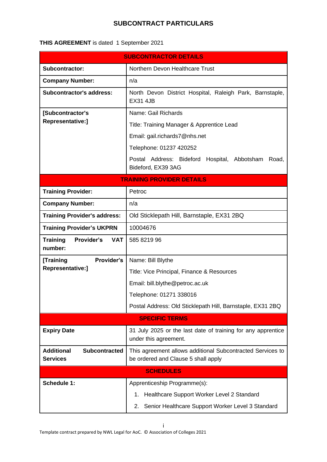## **SUBCONTRACT PARTICULARS**

## **THIS AGREEMENT** is dated 1 September 2021

| <b>SUBCONTRACTOR DETAILS</b>                                 |                                                                                                   |  |  |
|--------------------------------------------------------------|---------------------------------------------------------------------------------------------------|--|--|
| Subcontractor:                                               | Northern Devon Healthcare Trust                                                                   |  |  |
| <b>Company Number:</b>                                       | n/a                                                                                               |  |  |
| <b>Subcontractor's address:</b>                              | North Devon District Hospital, Raleigh Park, Barnstaple,<br><b>EX31 4JB</b>                       |  |  |
| [Subcontractor's                                             | Name: Gail Richards                                                                               |  |  |
| Representative:]                                             | Title: Training Manager & Apprentice Lead                                                         |  |  |
|                                                              | Email: gail.richards7@nhs.net                                                                     |  |  |
|                                                              | Telephone: 01237 420252                                                                           |  |  |
|                                                              | Postal Address: Bideford Hospital, Abbotsham<br>Road,<br>Bideford, EX39 3AG                       |  |  |
|                                                              | <b>TRAINING PROVIDER DETAILS</b>                                                                  |  |  |
| <b>Training Provider:</b>                                    | Petroc                                                                                            |  |  |
| <b>Company Number:</b>                                       | n/a                                                                                               |  |  |
| <b>Training Provider's address:</b>                          | Old Sticklepath Hill, Barnstaple, EX31 2BQ                                                        |  |  |
| <b>Training Provider's UKPRN</b>                             | 10004676                                                                                          |  |  |
| Provider's<br><b>Training</b><br><b>VAT</b><br>number:       | 585 8219 96                                                                                       |  |  |
| Provider's<br>[Training<br>Representative:]                  | Name: Bill Blythe                                                                                 |  |  |
|                                                              | Title: Vice Principal, Finance & Resources                                                        |  |  |
|                                                              | Email: bill.blythe@petroc.ac.uk                                                                   |  |  |
|                                                              | Telephone: 01271 338016                                                                           |  |  |
|                                                              | Postal Address: Old Sticklepath Hill, Barnstaple, EX31 2BQ                                        |  |  |
| <b>SPECIFIC TERMS</b>                                        |                                                                                                   |  |  |
| <b>Expiry Date</b>                                           | 31 July 2025 or the last date of training for any apprentice<br>under this agreement.             |  |  |
| <b>Additional</b><br><b>Subcontracted</b><br><b>Services</b> | This agreement allows additional Subcontracted Services to<br>be ordered and Clause 5 shall apply |  |  |
| <b>SCHEDULES</b>                                             |                                                                                                   |  |  |
| <b>Schedule 1:</b>                                           | Apprenticeship Programme(s):                                                                      |  |  |
|                                                              | Healthcare Support Worker Level 2 Standard<br>1.                                                  |  |  |
|                                                              | Senior Healthcare Support Worker Level 3 Standard<br>2.                                           |  |  |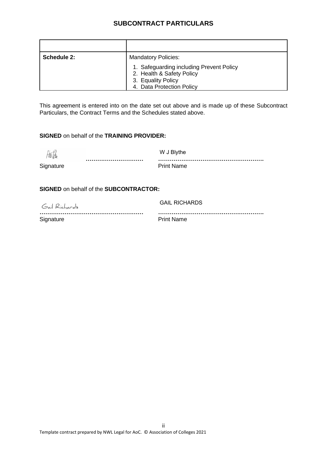## **SUBCONTRACT PARTICULARS**

| Schedule 2: | <b>Mandatory Policies:</b>                                                                                               |  |
|-------------|--------------------------------------------------------------------------------------------------------------------------|--|
|             | 1. Safeguarding including Prevent Policy<br>2. Health & Safety Policy<br>3. Equality Policy<br>4. Data Protection Policy |  |

This agreement is entered into on the date set out above and is made up of these Subcontract Particulars, the Contract Terms and the Schedules stated above.

#### **SIGNED** on behalf of the **TRAINING PROVIDER:**

| 価値        | W J Blythe        |
|-----------|-------------------|
|           |                   |
| Signature | <b>Print Name</b> |

**SIGNED** on behalf of the **SUBCONTRACTOR:**

Gail Richards GAIL RICHARDS

**……………………………………………… ……………………………………………….** Signature **Print Name**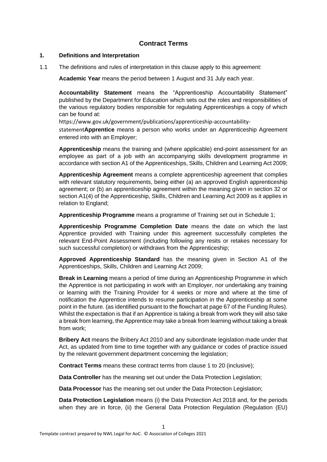#### **Contract Terms**

#### **1. Definitions and Interpretation**

1.1 The definitions and rules of interpretation in this clause apply to this agreement:

**Academic Year** means the period between 1 August and 31 July each year.

**Accountability Statement** means the "Apprenticeship Accountability Statement" published by the Department for Education which sets out the roles and responsibilities of the various regulatory bodies responsible for regulating Apprenticeships a copy of which can be found at:

https://www.gov.uk/government/publications/apprenticeship-accountability-

statement**Apprentice** means a person who works under an Apprenticeship Agreement entered into with an Employer;

**Apprenticeship** means the training and (where applicable) end-point assessment for an employee as part of a job with an accompanying skills development programme in accordance with section A1 of the Apprenticeships, Skills, Children and Learning Act 2009;

**Apprenticeship Agreement** means a complete apprenticeship agreement that complies with relevant statutory requirements, being either (a) an approved English apprenticeship agreement; or (b) an apprenticeship agreement within the meaning given in section 32 or section A1(4) of the Apprenticeship, Skills, Children and Learning Act 2009 as it applies in relation to England;

**Apprenticeship Programme** means a programme of Training set out in Schedule 1;

**Apprenticeship Programme Completion Date** means the date on which the last Apprentice provided with Training under this agreement successfully completes the relevant End-Point Assessment (including following any resits or retakes necessary for such successful completion) or withdraws from the Apprenticeship;

**Approved Apprenticeship Standard** has the meaning given in Section A1 of the Apprenticeships, Skills, Children and Learning Act 2009;

**Break in Learning** means a period of time during an Apprenticeship Programme in which the Apprentice is not participating in work with an Employer, nor undertaking any training or learning with the Training Provider for 4 weeks or more and where at the time of notification the Apprentice intends to resume participation in the Apprenticeship at some point in the future. (as identified pursuant to the flowchart at page 67 of the Funding Rules). Whilst the expectation is that if an Apprentice is taking a break from work they will also take a break from learning, the Apprentice may take a break from learning without taking a break from work;

**Bribery Act** means the Bribery Act 2010 and any subordinate legislation made under that Act, as updated from time to time together with any guidance or codes of practice issued by the relevant government department concerning the legislation;

**Contract Terms** means these contract terms from clause 1 to 20 (inclusive);

**Data Controller** has the meaning set out under the Data Protection Legislation;

**Data Processor** has the meaning set out under the Data Protection Legislation;

1

**Data Protection Legislation** means (i) the Data Protection Act 2018 and, for the periods when they are in force, (ii) the General Data Protection Regulation (Regulation (EU)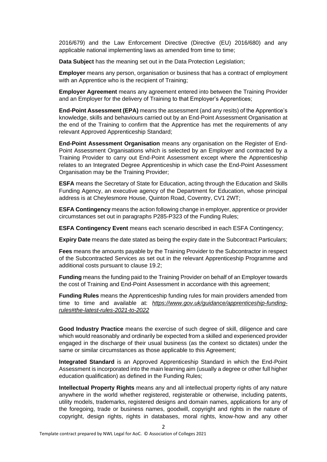2016/679) and the Law Enforcement Directive (Directive (EU) 2016/680) and any applicable national implementing laws as amended from time to time;

**Data Subject** has the meaning set out in the Data Protection Legislation;

**Employer** means any person, organisation or business that has a contract of employment with an Apprentice who is the recipient of Training;

**Employer Agreement** means any agreement entered into between the Training Provider and an Employer for the delivery of Training to that Employer's Apprentices;

**End-Point Assessment (EPA)** means the assessment (and any resits) of the Apprentice's knowledge, skills and behaviours carried out by an End-Point Assessment Organisation at the end of the Training to confirm that the Apprentice has met the requirements of any relevant Approved Apprenticeship Standard;

**End-Point Assessment Organisation** means any organisation on the Register of End-Point Assessment Organisations which is selected by an Employer and contracted by a Training Provider to carry out End-Point Assessment except where the Apprenticeship relates to an Integrated Degree Apprenticeship in which case the End-Point Assessment Organisation may be the Training Provider;

**ESFA** means the Secretary of State for Education, acting through the Education and Skills Funding Agency, an executive agency of the Department for Education, whose principal address is at Cheylesmore House, Quinton Road, Coventry, CV1 2WT;

**ESFA Contingency** means the action following change in employer, apprentice or provider circumstances set out in paragraphs P285-P323 of the Funding Rules;

**ESFA Contingency Event** means each scenario described in each ESFA Contingency;

**Expiry Date** means the date stated as being the expiry date in the Subcontract Particulars;

**Fees** means the amounts payable by the Training Provider to the Subcontractor in respect of the Subcontracted Services as set out in the relevant Apprenticeship Programme and additional costs pursuant to clause 19.2;

**Funding** means the funding paid to the Training Provider on behalf of an Employer towards the cost of Training and End-Point Assessment in accordance with this agreement;

**Funding Rules** means the Apprenticeship funding rules for main providers amended from time to time and available at: *https://www.gov.uk/guidance/apprenticeship-fundingrules#the-latest-rules-2021-to-2022*

**Good Industry Practice** means the exercise of such degree of skill, diligence and care which would reasonably and ordinarily be expected from a skilled and experienced provider engaged in the discharge of their usual business (as the context so dictates) under the same or similar circumstances as those applicable to this Agreement;

**Integrated Standard** is an Approved Apprenticeship Standard in which the End-Point Assessment is incorporated into the main learning aim (usually a degree or other full higher education qualification) as defined in the Funding Rules;

**Intellectual Property Rights** means any and all intellectual property rights of any nature anywhere in the world whether registered, registerable or otherwise, including patents, utility models, trademarks, registered designs and domain names, applications for any of the foregoing, trade or business names, goodwill, copyright and rights in the nature of copyright, design rights, rights in databases, moral rights, know-how and any other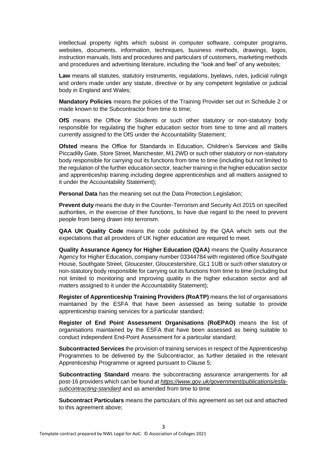intellectual property rights which subsist in computer software, computer programs, websites, documents, information, techniques, business methods, drawings, logos, instruction manuals, lists and procedures and particulars of customers, marketing methods and procedures and advertising literature, including the "look and feel" of any websites;

**Law** means all statutes, statutory instruments, regulations, byelaws, rules, judicial rulings and orders made under any statute, directive or by any competent legislative or judicial body in England and Wales;

**Mandatory Policies** means the policies of the Training Provider set out in Schedule 2 or made known to the Subcontractor from time to time;

**OfS** means the Office for Students or such other statutory or non-statutory body responsible for regulating the higher education sector from time to time and all matters currently assigned to the OfS under the Accountability Statement;

**Ofsted** means the Office for Standards in Education, Children's Services and Skills Piccadilly Gate, Store Street, Manchester, M1 2WD or such other statutory or non-statutory body responsible for carrying out its functions from time to time (including but not limited to the regulation of the further education sector, teacher training in the higher education sector and apprenticeship training including degree apprenticeships and all matters assigned to it under the Accountability Statement);

**Personal Data** has the meaning set out the Data Protection Legislation;

**Prevent duty** means the duty in the Counter-Terrorism and Security Act 2015 on specified authorities, in the exercise of their functions, to have due regard to the need to prevent people from being drawn into terrorism.

**QAA UK Quality Code** means the code published by the QAA which sets out the expectations that all providers of UK higher education are required to meet.

**Quality Assurance Agency for Higher Education (QAA)** means the Quality Assurance Agency for Higher Education, company number 03344784 with registered office Southgate House, Southgate Street, Gloucester, Gloucestershire, GL1 1UB or such other statutory or non-statutory body responsible for carrying out its functions from time to time (including but not limited to monitoring and improving quality in the higher education sector and all matters assigned to it under the Accountability Statement);

**Register of Apprenticeship Training Providers (RoATP)** means the list of organisations maintained by the ESFA that have been assessed as being suitable to provide apprenticeship training services for a particular standard;

**Register of End Point Assessment Organisations (RoEPAO)** means the list of organisations maintained by the ESFA that have been assessed as being suitable to conduct independent End-Point Assessment for a particular standard;

**Subcontracted Services** the provision of training services in respect of the Apprenticeship Programmes to be delivered by the Subcontractor, as further detailed in the relevant Apprenticeship Programme or agreed pursuant to Clause 5;

**Subcontracting Standard** means the subcontracting assurance arrangements for all post-16 providers which can be found at *https://www.gov.uk/government/publications/esfasubcontracting-standard* and as amended from time to time

**Subcontract Particulars** means the particulars of this agreement as set out and attached to this agreement above;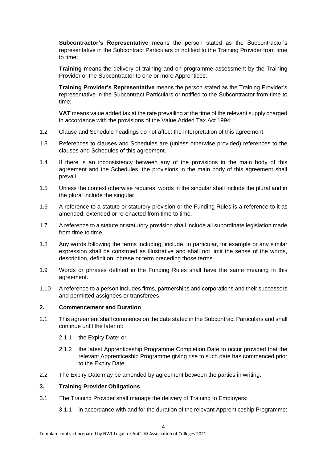**Subcontractor's Representative** means the person stated as the Subcontractor's representative in the Subcontract Particulars or notified to the Training Provider from time to time;

**Training** means the delivery of training and on-programme assessment by the Training Provider or the Subcontractor to one or more Apprentices;

**Training Provider's Representative** means the person stated as the Training Provider's representative in the Subcontract Particulars or notified to the Subcontractor from time to time;

**VAT** means value added tax at the rate prevailing at the time of the relevant supply charged in accordance with the provisions of the Value Added Tax Act 1994;

- 1.2 Clause and Schedule headings do not affect the interpretation of this agreement.
- 1.3 References to clauses and Schedules are (unless otherwise provided) references to the clauses and Schedules of this agreement.
- 1.4 If there is an inconsistency between any of the provisions in the main body of this agreement and the Schedules, the provisions in the main body of this agreement shall prevail.
- 1.5 Unless the context otherwise requires, words in the singular shall include the plural and in the plural include the singular.
- 1.6 A reference to a statute or statutory provision or the Funding Rules is a reference to it as amended, extended or re-enacted from time to time.
- 1.7 A reference to a statute or statutory provision shall include all subordinate legislation made from time to time.
- 1.8 Any words following the terms including, include, in particular, for example or any similar expression shall be construed as illustrative and shall not limit the sense of the words, description, definition, phrase or term preceding those terms.
- 1.9 Words or phrases defined in the Funding Rules shall have the same meaning in this agreement.
- 1.10 A reference to a person includes firms, partnerships and corporations and their successors and permitted assignees or transferees.

#### **2. Commencement and Duration**

- 2.1 This agreement shall commence on the date stated in the Subcontract Particulars and shall continue until the later of:
	- 2.1.1 the Expiry Date; or
	- 2.1.2 the latest Apprenticeship Programme Completion Date to occur provided that the relevant Apprenticeship Programme giving rise to such date has commenced prior to the Expiry Date.
- 2.2 The Expiry Date may be amended by agreement between the parties in writing.

#### **3. Training Provider Obligations**

- 3.1 The Training Provider shall manage the delivery of Training to Employers:
	- 3.1.1 in accordance with and for the duration of the relevant Apprenticeship Programme;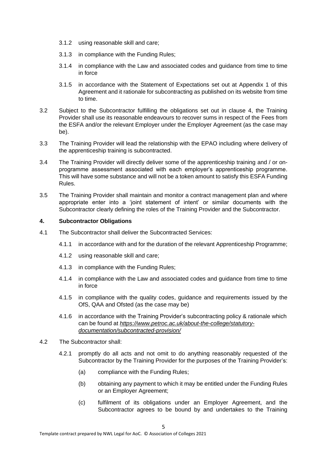- 3.1.2 using reasonable skill and care;
- 3.1.3 in compliance with the Funding Rules;
- 3.1.4 in compliance with the Law and associated codes and guidance from time to time in force
- 3.1.5 in accordance with the Statement of Expectations set out at Appendix 1 of this Agreement and it rationale for subcontracting as published on its website from time to time.
- 3.2 Subject to the Subcontractor fulfilling the obligations set out in clause 4, the Training Provider shall use its reasonable endeavours to recover sums in respect of the Fees from the ESFA and/or the relevant Employer under the Employer Agreement (as the case may be).
- 3.3 The Training Provider will lead the relationship with the EPAO including where delivery of the apprenticeship training is subcontracted.
- 3.4 The Training Provider will directly deliver some of the apprenticeship training and / or onprogramme assessment associated with each employer's apprenticeship programme. This will have some substance and will not be a token amount to satisfy this ESFA Funding Rules.
- 3.5 The Training Provider shall maintain and monitor a contract management plan and where appropriate enter into a 'joint statement of intent' or similar documents with the Subcontractor clearly defining the roles of the Training Provider and the Subcontractor.

#### **4. Subcontractor Obligations**

- 4.1 The Subcontractor shall deliver the Subcontracted Services:
	- 4.1.1 in accordance with and for the duration of the relevant Apprenticeship Programme;
	- 4.1.2 using reasonable skill and care;
	- 4.1.3 in compliance with the Funding Rules;
	- 4.1.4 in compliance with the Law and associated codes and guidance from time to time in force
	- 4.1.5 in compliance with the quality codes, guidance and requirements issued by the OfS, QAA and Ofsted (as the case may be)
	- 4.1.6 in accordance with the Training Provider's subcontracting policy & rationale which can be found at *https://www.petroc.ac.uk/about-the-college/statutorydocumentation/subcontracted-provision/*
- 4.2 The Subcontractor shall:
	- 4.2.1 promptly do all acts and not omit to do anything reasonably requested of the Subcontractor by the Training Provider for the purposes of the Training Provider's:

5

- (a) compliance with the Funding Rules;
- (b) obtaining any payment to which it may be entitled under the Funding Rules or an Employer Agreement;
- (c) fulfilment of its obligations under an Employer Agreement, and the Subcontractor agrees to be bound by and undertakes to the Training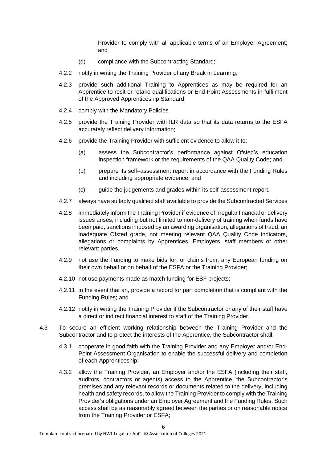Provider to comply with all applicable terms of an Employer Agreement; and

- (d) compliance with the Subcontracting Standard;
- 4.2.2 notify in writing the Training Provider of any Break in Learning;
- 4.2.3 provide such additional Training to Apprentices as may be required for an Apprentice to resit or retake qualifications or End-Point Assessments in fulfilment of the Approved Apprenticeship Standard;
- 4.2.4 comply with the Mandatory Policies
- 4.2.5 provide the Training Provider with ILR data so that its data returns to the ESFA accurately reflect delivery information;
- 4.2.6 provide the Training Provider with sufficient evidence to allow it to:
	- (a) assess the Subcontractor's performance against Ofsted's education inspection framework or the requirements of the QAA Quality Code; and
	- (b) prepare its self–assessment report in accordance with the Funding Rules and including appropriate evidence; and
	- (c) guide the judgements and grades within its self-assessment report.
- 4.2.7 always have suitably qualified staff available to provide the Subcontracted Services
- 4.2.8 immediately inform the Training Provider if evidence of irregular financial or delivery issues arises, including but not limited to non-delivery of training when funds have been paid, sanctions imposed by an awarding organisation, allegations of fraud, an inadequate Ofsted grade, not meeting relevant QAA Quality Code indicators, allegations or complaints by Apprentices, Employers, staff members or other relevant parties.
- 4.2.9 not use the Funding to make bids for, or claims from, any European funding on their own behalf or on behalf of the ESFA or the Training Provider;
- 4.2.10 not use payments made as match funding for ESF projects;
- 4.2.11 in the event that an, provide a record for part completion that is compliant with the Funding Rules; and
- 4.2.12 notify in writing the Training Provider if the Subcontractor or any of their staff have a direct or indirect financial interest to staff of the Training Provider.
- 4.3 To secure an efficient working relationship between the Training Provider and the Subcontractor and to protect the interests of the Apprentice, the Subcontractor shall:
	- 4.3.1 cooperate in good faith with the Training Provider and any Employer and/or End-Point Assessment Organisation to enable the successful delivery and completion of each Apprenticeship;
	- 4.3.2 allow the Training Provider, an Employer and/or the ESFA (including their staff, auditors, contractors or agents) access to the Apprentice, the Subcontractor's premises and any relevant records or documents related to the delivery, including health and safety records, to allow the Training Provider to comply with the Training Provider's obligations under an Employer Agreement and the Funding Rules. Such access shall be as reasonably agreed between the parties or on reasonable notice from the Training Provider or ESFA;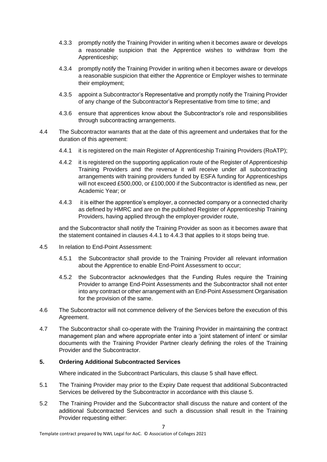- 4.3.3 promptly notify the Training Provider in writing when it becomes aware or develops a reasonable suspicion that the Apprentice wishes to withdraw from the Apprenticeship;
- 4.3.4 promptly notify the Training Provider in writing when it becomes aware or develops a reasonable suspicion that either the Apprentice or Employer wishes to terminate their employment;
- 4.3.5 appoint a Subcontractor's Representative and promptly notify the Training Provider of any change of the Subcontractor's Representative from time to time; and
- 4.3.6 ensure that apprentices know about the Subcontractor's role and responsibilities through subcontracting arrangements.
- 4.4 The Subcontractor warrants that at the date of this agreement and undertakes that for the duration of this agreement:
	- 4.4.1 it is registered on the main Register of Apprenticeship Training Providers (RoATP);
	- 4.4.2 it is registered on the supporting application route of the Register of Apprenticeship Training Providers and the revenue it will receive under all subcontracting arrangements with training providers funded by ESFA funding for Apprenticeships will not exceed £500,000, or £100,000 if the Subcontractor is identified as new, per Academic Year; or
	- 4.4.3 it is either the apprentice's employer, a connected company or a connected charity as defined by HMRC and are on the published Register of Apprenticeship Training Providers, having applied through the employer-provider route,

and the Subcontractor shall notify the Training Provider as soon as it becomes aware that the statement contained in clauses 4.4.1 to 4.4.3 that applies to it stops being true.

- 4.5 In relation to End-Point Assessment:
	- 4.5.1 the Subcontractor shall provide to the Training Provider all relevant information about the Apprentice to enable End-Point Assessment to occur;
	- 4.5.2 the Subcontractor acknowledges that the Funding Rules require the Training Provider to arrange End-Point Assessments and the Subcontractor shall not enter into any contract or other arrangement with an End-Point Assessment Organisation for the provision of the same.
- 4.6 The Subcontractor will not commence delivery of the Services before the execution of this Agreement.
- 4.7 The Subcontractor shall co-operate with the Training Provider in maintaining the contract management plan and where appropriate enter into a 'joint statement of intent' or similar documents with the Training Provider Partner clearly defining the roles of the Training Provider and the Subcontractor.

#### **5. Ordering Additional Subcontracted Services**

Where indicated in the Subcontract Particulars, this clause 5 shall have effect.

- 5.1 The Training Provider may prior to the Expiry Date request that additional Subcontracted Services be delivered by the Subcontractor in accordance with this clause 5.
- 5.2 The Training Provider and the Subcontractor shall discuss the nature and content of the additional Subcontracted Services and such a discussion shall result in the Training Provider requesting either: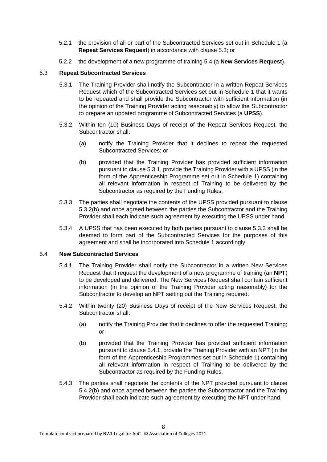- 5.2.1 the provision of all or part of the Subcontracted Services set out in Schedule 1 (a **Repeat Services Request**) in accordance with clause 5.3; or
- 5.2.2 the development of a new programme of training 5.4 (a **New Services Request**).

#### 5.3 **Repeat Subcontracted Services**

- 5.3.1 The Training Provider shall notify the Subcontractor in a written Repeat Services Request which of the Subcontracted Services set out in Schedule 1 that it wants to be repeated and shall provide the Subcontractor with sufficient information (in the opinion of the Training Provider acting reasonably) to allow the Subcontractor to prepare an updated programme of Subcontracted Services (a **UPSS**).
- 5.3.2 Within ten (10) Business Days of receipt of the Repeat Services Request, the Subcontractor shall:
	- (a) notify the Training Provider that it declines to repeat the requested Subcontracted Services; or
	- (b) provided that the Training Provider has provided sufficient information pursuant to clause 5.3.1, provide the Training Provider with a UPSS (in the form of the Apprenticeship Programme set out in Schedule 1) containing all relevant information in respect of Training to be delivered by the Subcontractor as required by the Funding Rules.
- 5.3.3 The parties shall negotiate the contents of the UPSS provided pursuant to clause 5.3.2(b) and once agreed between the parties the Subcontractor and the Training Provider shall each indicate such agreement by executing the UPSS under hand.
- 5.3.4 A UPSS that has been executed by both parties pursuant to clause 5.3.3 shall be deemed to form part of the Subcontracted Services for the purposes of this agreement and shall be incorporated into Schedule 1 accordingly.

#### 5.4 **New Subcontracted Services**

- 5.4.1 The Training Provider shall notify the Subcontractor in a written New Services Request that it request the development of a new programme of training (an **NPT**) to be developed and delivered. The New Services Request shall contain sufficient information (in the opinion of the Training Provider acting reasonably) for the Subcontractor to develop an NPT setting out the Training required.
- 5.4.2 Within twenty (20) Business Days of receipt of the New Services Request, the Subcontractor shall:
	- (a) notify the Training Provider that it declines to offer the requested Training; or
	- (b) provided that the Training Provider has provided sufficient information pursuant to clause 5.4.1, provide the Training Provider with an NPT (in the form of the Apprenticeship Programmes set out in Schedule 1) containing all relevant information in respect of Training to be delivered by the Subcontractor as required by the Funding Rules.
- 5.4.3 The parties shall negotiate the contents of the NPT provided pursuant to clause 5.4.2(b) and once agreed between the parties the Subcontractor and the Training Provider shall each indicate such agreement by executing the NPT under hand.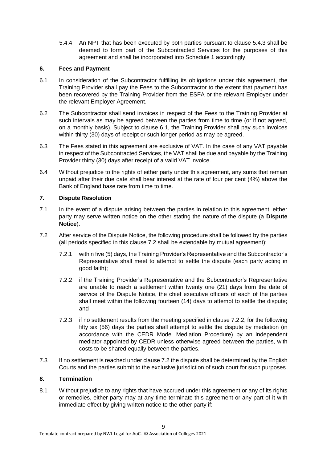5.4.4 An NPT that has been executed by both parties pursuant to clause 5.4.3 shall be deemed to form part of the Subcontracted Services for the purposes of this agreement and shall be incorporated into Schedule 1 accordingly.

#### **6. Fees and Payment**

- 6.1 In consideration of the Subcontractor fulfilling its obligations under this agreement, the Training Provider shall pay the Fees to the Subcontractor to the extent that payment has been recovered by the Training Provider from the ESFA or the relevant Employer under the relevant Employer Agreement.
- 6.2 The Subcontractor shall send invoices in respect of the Fees to the Training Provider at such intervals as may be agreed between the parties from time to time (or if not agreed, on a monthly basis). Subject to clause 6.1, the Training Provider shall pay such invoices within thirty (30) days of receipt or such longer period as may be agreed.
- 6.3 The Fees stated in this agreement are exclusive of VAT. In the case of any VAT payable in respect of the Subcontracted Services, the VAT shall be due and payable by the Training Provider thirty (30) days after receipt of a valid VAT invoice.
- 6.4 Without prejudice to the rights of either party under this agreement, any sums that remain unpaid after their due date shall bear interest at the rate of four per cent (4%) above the Bank of England base rate from time to time.

#### **7. Dispute Resolution**

- 7.1 In the event of a dispute arising between the parties in relation to this agreement, either party may serve written notice on the other stating the nature of the dispute (a **Dispute Notice**).
- 7.2 After service of the Dispute Notice, the following procedure shall be followed by the parties (all periods specified in this clause 7.2 shall be extendable by mutual agreement):
	- 7.2.1 within five (5) days, the Training Provider's Representative and the Subcontractor's Representative shall meet to attempt to settle the dispute (each party acting in good faith);
	- 7.2.2 if the Training Provider's Representative and the Subcontractor's Representative are unable to reach a settlement within twenty one (21) days from the date of service of the Dispute Notice, the chief executive officers of each of the parties shall meet within the following fourteen (14) days to attempt to settle the dispute; and
	- 7.2.3 if no settlement results from the meeting specified in clause 7.2.2, for the following fifty six (56) days the parties shall attempt to settle the dispute by mediation (in accordance with the CEDR Model Mediation Procedure) by an independent mediator appointed by CEDR unless otherwise agreed between the parties, with costs to be shared equally between the parties.
- 7.3 If no settlement is reached under clause 7.2 the dispute shall be determined by the English Courts and the parties submit to the exclusive jurisdiction of such court for such purposes.

#### **8. Termination**

8.1 Without prejudice to any rights that have accrued under this agreement or any of its rights or remedies, either party may at any time terminate this agreement or any part of it with immediate effect by giving written notice to the other party if: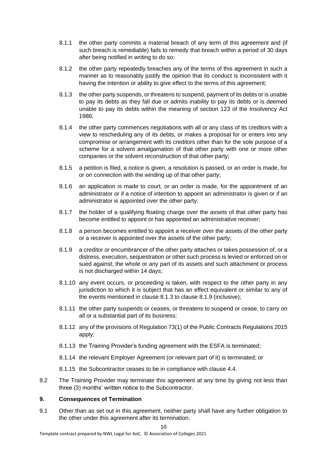- 8.1.1 the other party commits a material breach of any term of this agreement and (if such breach is remediable) fails to remedy that breach within a period of 30 days after being notified in writing to do so;
- 8.1.2 the other party repeatedly breaches any of the terms of this agreement in such a manner as to reasonably justify the opinion that its conduct is inconsistent with it having the intention or ability to give effect to the terms of this agreement;
- 8.1.3 the other party suspends, or threatens to suspend, payment of its debts or is unable to pay its debts as they fall due or admits inability to pay its debts or is deemed unable to pay its debts within the meaning of section 123 of the Insolvency Act 1986;
- 8.1.4 the other party commences negotiations with all or any class of its creditors with a view to rescheduling any of its debts, or makes a proposal for or enters into any compromise or arrangement with its creditors other than for the sole purpose of a scheme for a solvent amalgamation of that other party with one or more other companies or the solvent reconstruction of that other party;
- 8.1.5 a petition is filed, a notice is given, a resolution is passed, or an order is made, for or on connection with the winding up of that other party;
- 8.1.6 an application is made to court, or an order is made, for the appointment of an administrator or if a notice of intention to appoint an administrator is given or if an administrator is appointed over the other party;
- 8.1.7 the holder of a qualifying floating charge over the assets of that other party has become entitled to appoint or has appointed an administrative receiver;
- 8.1.8 a person becomes entitled to appoint a receiver over the assets of the other party or a receiver is appointed over the assets of the other party;
- 8.1.9 a creditor or encumbrancer of the other party attaches or takes possession of, or a distress, execution, sequestration or other such process is levied or enforced on or sued against, the whole or any part of its assets and such attachment or process is not discharged within 14 days;
- 8.1.10 any event occurs, or proceeding is taken, with respect to the other party in any jurisdiction to which it is subject that has an effect equivalent or similar to any of the events mentioned in clause 8.1.3 to clause 8.1.9 (inclusive);
- 8.1.11 the other party suspends or ceases, or threatens to suspend or cease, to carry on all or a substantial part of its business;
- 8.1.12 any of the provisions of Regulation 73(1) of the Public Contracts Regulations 2015 apply;
- 8.1.13 the Training Provider's funding agreement with the ESFA is terminated;
- 8.1.14 the relevant Employer Agreement (or relevant part of it) is terminated; or
- 8.1.15 the Subcontractor ceases to be in compliance with clause 4.4.
- 8.2 The Training Provider may terminate this agreement at any time by giving not less than three (3) months' written notice to the Subcontractor.

#### **9. Consequences of Termination**

9.1 Other than as set out in this agreement, neither party shall have any further obligation to the other under this agreement after its termination.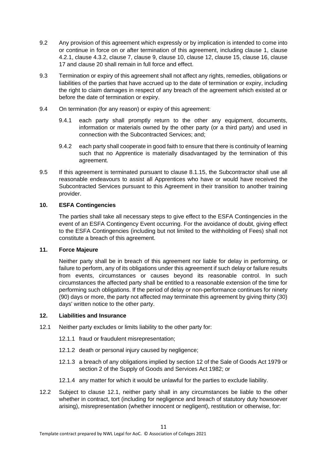- 9.2 Any provision of this agreement which expressly or by implication is intended to come into or continue in force on or after termination of this agreement, including clause 1, clause 4.2.1, clause 4.3.2, clause 7, clause 9, clause 10, clause 12, clause 15, clause 16, clause 17 and clause 20 shall remain in full force and effect.
- 9.3 Termination or expiry of this agreement shall not affect any rights, remedies, obligations or liabilities of the parties that have accrued up to the date of termination or expiry, including the right to claim damages in respect of any breach of the agreement which existed at or before the date of termination or expiry.
- 9.4 On termination (for any reason) or expiry of this agreement:
	- 9.4.1 each party shall promptly return to the other any equipment, documents, information or materials owned by the other party (or a third party) and used in connection with the Subcontracted Services; and;
	- 9.4.2 each party shall cooperate in good faith to ensure that there is continuity of learning such that no Apprentice is materially disadvantaged by the termination of this agreement.
- 9.5 If this agreement is terminated pursuant to clause 8.1.15, the Subcontractor shall use all reasonable endeavours to assist all Apprentices who have or would have received the Subcontracted Services pursuant to this Agreement in their transition to another training provider.

#### **10. ESFA Contingencies**

The parties shall take all necessary steps to give effect to the ESFA Contingencies in the event of an ESFA Contingency Event occurring. For the avoidance of doubt, giving effect to the ESFA Contingencies (including but not limited to the withholding of Fees) shall not constitute a breach of this agreement.

#### **11. Force Majeure**

Neither party shall be in breach of this agreement nor liable for delay in performing, or failure to perform, any of its obligations under this agreement if such delay or failure results from events, circumstances or causes beyond its reasonable control. In such circumstances the affected party shall be entitled to a reasonable extension of the time for performing such obligations. If the period of delay or non-performance continues for ninety (90) days or more, the party not affected may terminate this agreement by giving thirty (30) days' written notice to the other party.

#### **12. Liabilities and Insurance**

- 12.1 Neither party excludes or limits liability to the other party for:
	- 12.1.1 fraud or fraudulent misrepresentation;
	- 12.1.2 death or personal injury caused by negligence;
	- 12.1.3 a breach of any obligations implied by section 12 of the Sale of Goods Act 1979 or section 2 of the Supply of Goods and Services Act 1982; or
	- 12.1.4 any matter for which it would be unlawful for the parties to exclude liability.
- 12.2 Subject to clause 12.1, neither party shall in any circumstances be liable to the other whether in contract, tort (including for negligence and breach of statutory duty howsoever arising), misrepresentation (whether innocent or negligent), restitution or otherwise, for: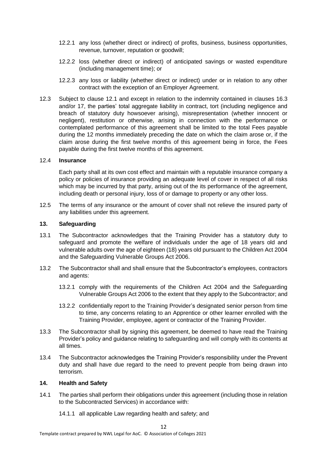- 12.2.1 any loss (whether direct or indirect) of profits, business, business opportunities, revenue, turnover, reputation or goodwill;
- 12.2.2 loss (whether direct or indirect) of anticipated savings or wasted expenditure (including management time); or
- 12.2.3 any loss or liability (whether direct or indirect) under or in relation to any other contract with the exception of an Employer Agreement.
- 12.3 Subject to clause 12.1 and except in relation to the indemnity contained in clauses 16.3 and/or 17, the parties' total aggregate liability in contract, tort (including negligence and breach of statutory duty howsoever arising), misrepresentation (whether innocent or negligent), restitution or otherwise, arising in connection with the performance or contemplated performance of this agreement shall be limited to the total Fees payable during the 12 months immediately preceding the date on which the claim arose or, if the claim arose during the first twelve months of this agreement being in force, the Fees payable during the first twelve months of this agreement.

#### 12.4 **Insurance**

Each party shall at its own cost effect and maintain with a reputable insurance company a policy or policies of insurance providing an adequate level of cover in respect of all risks which may be incurred by that party, arising out of the its performance of the agreement, including death or personal injury, loss of or damage to property or any other loss.

12.5 The terms of any insurance or the amount of cover shall not relieve the insured party of any liabilities under this agreement.

#### **13. Safeguarding**

- 13.1 The Subcontractor acknowledges that the Training Provider has a statutory duty to safeguard and promote the welfare of individuals under the age of 18 years old and vulnerable adults over the age of eighteen (18) years old pursuant to the Children Act 2004 and the Safeguarding Vulnerable Groups Act 2006.
- 13.2 The Subcontractor shall and shall ensure that the Subcontractor's employees, contractors and agents:
	- 13.2.1 comply with the requirements of the Children Act 2004 and the Safeguarding Vulnerable Groups Act 2006 to the extent that they apply to the Subcontractor; and
	- 13.2.2 confidentially report to the Training Provider's designated senior person from time to time, any concerns relating to an Apprentice or other learner enrolled with the Training Provider, employee, agent or contractor of the Training Provider.
- 13.3 The Subcontractor shall by signing this agreement, be deemed to have read the Training Provider's policy and guidance relating to safeguarding and will comply with its contents at all times.
- 13.4 The Subcontractor acknowledges the Training Provider's responsibility under the Prevent duty and shall have due regard to the need to prevent people from being drawn into terrorism.

#### **14. Health and Safety**

- 14.1 The parties shall perform their obligations under this agreement (including those in relation to the Subcontracted Services) in accordance with:
	- 14.1.1 all applicable Law regarding health and safety; and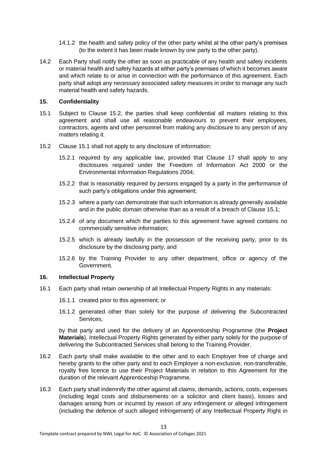- 14.1.2 the health and safety policy of the other party whilst at the other party's premises (to the extent it has been made known by one party to the other party).
- 14.2 Each Party shall notify the other as soon as practicable of any health and safety incidents or material health and safety hazards at either party's premises of which it becomes aware and which relate to or arise in connection with the performance of this agreement. Each party shall adopt any necessary associated safety measures in order to manage any such material health and safety hazards.

#### **15. Confidentiality**

- 15.1 Subject to Clause 15.2, the parties shall keep confidential all matters relating to this agreement and shall use all reasonable endeavours to prevent their employees, contractors, agents and other personnel from making any disclosure to any person of any matters relating it.
- 15.2 Clause 15.1 shall not apply to any disclosure of information:
	- 15.2.1 required by any applicable law, provided that Clause 17 shall apply to any disclosures required under the Freedom of Information Act 2000 or the Environmental Information Regulations 2004;
	- 15.2.2 that is reasonably required by persons engaged by a party in the performance of such party's obligations under this agreement;
	- 15.2.3 where a party can demonstrate that such information is already generally available and in the public domain otherwise than as a result of a breach of Clause 15.1;
	- 15.2.4 of any document which the parties to this agreement have agreed contains no commercially sensitive information;
	- 15.2.5 which is already lawfully in the possession of the receiving party, prior to its disclosure by the disclosing party; and
	- 15.2.6 by the Training Provider to any other department, office or agency of the Government.

#### **16. Intellectual Property**

- 16.1 Each party shall retain ownership of all Intellectual Property Rights in any materials:
	- 16.1.1 created prior to this agreement; or
	- 16.1.2 generated other than solely for the purpose of delivering the Subcontracted Services,

by that party and used for the delivery of an Apprenticeship Programme (the **Project Materials**). Intellectual Property Rights generated by either party solely for the purpose of delivering the Subcontracted Services shall belong to the Training Provider.

- 16.2 Each party shall make available to the other and to each Employer free of charge and hereby grants to the other party and to each Employer a non-exclusive, non-transferable, royalty free licence to use their Project Materials in relation to this Agreement for the duration of the relevant Apprenticeship Programme.
- 16.3 Each party shall indemnify the other against all claims, demands, actions, costs, expenses (including legal costs and disbursements on a solicitor and client basis), losses and damages arising from or incurred by reason of any infringement or alleged infringement (including the defence of such alleged infringement) of any Intellectual Property Right in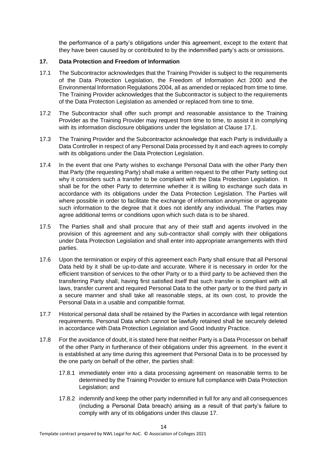the performance of a party's obligations under this agreement, except to the extent that they have been caused by or contributed to by the indemnified party's acts or omissions.

#### **17. Data Protection and Freedom of Information**

- 17.1 The Subcontractor acknowledges that the Training Provider is subject to the requirements of the Data Protection Legislation, the Freedom of Information Act 2000 and the Environmental Information Regulations 2004, all as amended or replaced from time to time. The Training Provider acknowledges that the Subcontractor is subject to the requirements of the Data Protection Legislation as amended or replaced from time to time.
- 17.2 The Subcontractor shall offer such prompt and reasonable assistance to the Training Provider as the Training Provider may request from time to time, to assist it in complying with its information disclosure obligations under the legislation at Clause 17.1.
- 17.3 The Training Provider and the Subcontractor acknowledge that each Party is individually a Data Controller in respect of any Personal Data processed by it and each agrees to comply with its obligations under the Data Protection Legislation.
- 17.4 In the event that one Party wishes to exchange Personal Data with the other Party then that Party (the requesting Party) shall make a written request to the other Party setting out why it considers such a transfer to be compliant with the Data Protection Legislation. It shall be for the other Party to determine whether it is willing to exchange such data in accordance with its obligations under the Data Protection Legislation. The Parties will where possible in order to facilitate the exchange of information anonymise or aggregate such information to the degree that it does not identify any individual. The Parties may agree additional terms or conditions upon which such data is to be shared.
- 17.5 The Parties shall and shall procure that any of their staff and agents involved in the provision of this agreement and any sub-contractor shall comply with their obligations under Data Protection Legislation and shall enter into appropriate arrangements with third parties.
- 17.6 Upon the termination or expiry of this agreement each Party shall ensure that all Personal Data held by it shall be up-to-date and accurate. Where it is necessary in order for the efficient transition of services to the other Party or to a third party to be achieved then the transferring Party shall, having first satisfied itself that such transfer is compliant with all laws, transfer current and required Personal Data to the other party or to the third party in a secure manner and shall take all reasonable steps, at its own cost, to provide the Personal Data in a usable and compatible format.
- 17.7 Historical personal data shall be retained by the Parties in accordance with legal retention requirements. Personal Data which cannot be lawfully retained shall be securely deleted in accordance with Data Protection Legislation and Good Industry Practice.
- 17.8 For the avoidance of doubt, it is stated here that neither Party is a Data Processor on behalf of the other Party in furtherance of their obligations under this agreement. In the event it is established at any time during this agreement that Personal Data is to be processed by the one party on behalf of the other, the parties shall:
	- 17.8.1 immediately enter into a data processing agreement on reasonable terms to be determined by the Training Provider to ensure full compliance with Data Protection Legislation; and
	- 17.8.2 indemnify and keep the other party indemnified in full for any and all consequences (including a Personal Data breach) arising as a result of that party's failure to comply with any of its obligations under this clause 17.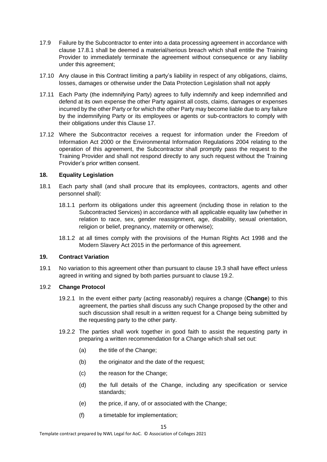- 17.9 Failure by the Subcontractor to enter into a data processing agreement in accordance with clause 17.8.1 shall be deemed a material/serious breach which shall entitle the Training Provider to immediately terminate the agreement without consequence or any liability under this agreement;
- 17.10 Any clause in this Contract limiting a party's liability in respect of any obligations, claims, losses, damages or otherwise under the Data Protection Legislation shall not apply
- 17.11 Each Party (the indemnifying Party) agrees to fully indemnify and keep indemnified and defend at its own expense the other Party against all costs, claims, damages or expenses incurred by the other Party or for which the other Party may become liable due to any failure by the indemnifying Party or its employees or agents or sub-contractors to comply with their obligations under this Clause 17.
- 17.12 Where the Subcontractor receives a request for information under the Freedom of Information Act 2000 or the Environmental Information Regulations 2004 relating to the operation of this agreement, the Subcontractor shall promptly pass the request to the Training Provider and shall not respond directly to any such request without the Training Provider's prior written consent.

#### **18. Equality Legislation**

- 18.1 Each party shall (and shall procure that its employees, contractors, agents and other personnel shall):
	- 18.1.1 perform its obligations under this agreement (including those in relation to the Subcontracted Services) in accordance with all applicable equality law (whether in relation to race, sex, gender reassignment, age, disability, sexual orientation, religion or belief, pregnancy, maternity or otherwise);
	- 18.1.2 at all times comply with the provisions of the Human Rights Act 1998 and the Modern Slavery Act 2015 in the performance of this agreement.

#### **19. Contract Variation**

19.1 No variation to this agreement other than pursuant to clause 19.3 shall have effect unless agreed in writing and signed by both parties pursuant to clause 19.2.

#### 19.2 **Change Protocol**

- 19.2.1 In the event either party (acting reasonably) requires a change (**Change**) to this agreement, the parties shall discuss any such Change proposed by the other and such discussion shall result in a written request for a Change being submitted by the requesting party to the other party.
- 19.2.2 The parties shall work together in good faith to assist the requesting party in preparing a written recommendation for a Change which shall set out:
	- (a) the title of the Change;
	- (b) the originator and the date of the request:
	- (c) the reason for the Change;
	- (d) the full details of the Change, including any specification or service standards;
	- (e) the price, if any, of or associated with the Change;
	- (f) a timetable for implementation;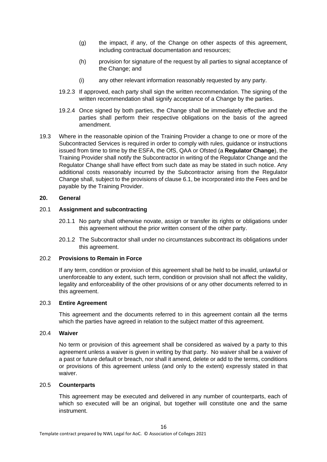- (g) the impact, if any, of the Change on other aspects of this agreement, including contractual documentation and resources;
- (h) provision for signature of the request by all parties to signal acceptance of the Change; and
- (i) any other relevant information reasonably requested by any party.
- 19.2.3 If approved, each party shall sign the written recommendation. The signing of the written recommendation shall signify acceptance of a Change by the parties.
- 19.2.4 Once signed by both parties, the Change shall be immediately effective and the parties shall perform their respective obligations on the basis of the agreed amendment.
- 19.3 Where in the reasonable opinion of the Training Provider a change to one or more of the Subcontracted Services is required in order to comply with rules, guidance or instructions issued from time to time by the ESFA, the OfS, QAA or Ofsted (a **Regulator Change**), the Training Provider shall notify the Subcontractor in writing of the Regulator Change and the Regulator Change shall have effect from such date as may be stated in such notice. Any additional costs reasonably incurred by the Subcontractor arising from the Regulator Change shall, subject to the provisions of clause 6.1, be incorporated into the Fees and be payable by the Training Provider.

#### **20. General**

#### 20.1 **Assignment and subcontracting**

- 20.1.1 No party shall otherwise novate, assign or transfer its rights or obligations under this agreement without the prior written consent of the other party.
- 20.1.2 The Subcontractor shall under no circumstances subcontract its obligations under this agreement.

#### 20.2 **Provisions to Remain in Force**

If any term, condition or provision of this agreement shall be held to be invalid, unlawful or unenforceable to any extent, such term, condition or provision shall not affect the validity, legality and enforceability of the other provisions of or any other documents referred to in this agreement.

#### 20.3 **Entire Agreement**

This agreement and the documents referred to in this agreement contain all the terms which the parties have agreed in relation to the subject matter of this agreement.

#### 20.4 **Waiver**

No term or provision of this agreement shall be considered as waived by a party to this agreement unless a waiver is given in writing by that party. No waiver shall be a waiver of a past or future default or breach, nor shall it amend, delete or add to the terms, conditions or provisions of this agreement unless (and only to the extent) expressly stated in that waiver.

#### 20.5 **Counterparts**

This agreement may be executed and delivered in any number of counterparts, each of which so executed will be an original, but together will constitute one and the same instrument.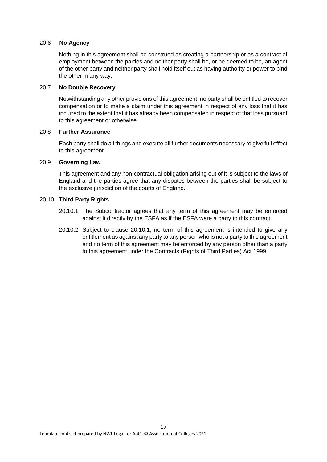#### 20.6 **No Agency**

Nothing in this agreement shall be construed as creating a partnership or as a contract of employment between the parties and neither party shall be, or be deemed to be, an agent of the other party and neither party shall hold itself out as having authority or power to bind the other in any way.

#### 20.7 **No Double Recovery**

Notwithstanding any other provisions of this agreement, no party shall be entitled to recover compensation or to make a claim under this agreement in respect of any loss that it has incurred to the extent that it has already been compensated in respect of that loss pursuant to this agreement or otherwise.

#### 20.8 **Further Assurance**

Each party shall do all things and execute all further documents necessary to give full effect to this agreement.

#### 20.9 **Governing Law**

This agreement and any non-contractual obligation arising out of it is subject to the laws of England and the parties agree that any disputes between the parties shall be subject to the exclusive jurisdiction of the courts of England.

#### 20.10 **Third Party Rights**

- 20.10.1 The Subcontractor agrees that any term of this agreement may be enforced against it directly by the ESFA as if the ESFA were a party to this contract.
- 20.10.2 Subject to clause 20.10.1, no term of this agreement is intended to give any entitlement as against any party to any person who is not a party to this agreement and no term of this agreement may be enforced by any person other than a party to this agreement under the Contracts (Rights of Third Parties) Act 1999.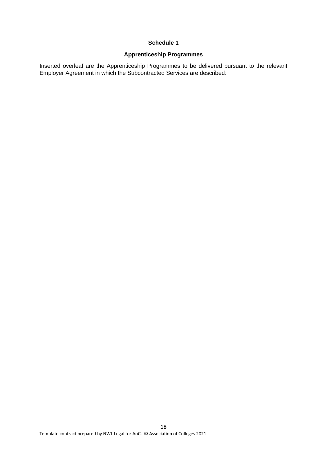#### **Schedule 1**

### **Apprenticeship Programmes**

Inserted overleaf are the Apprenticeship Programmes to be delivered pursuant to the relevant Employer Agreement in which the Subcontracted Services are described: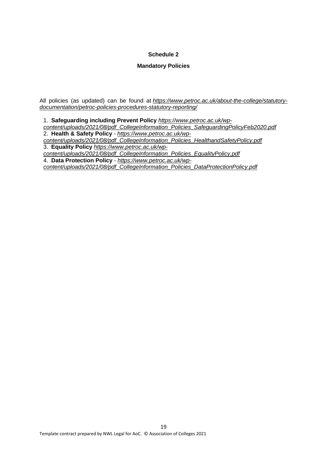#### **Schedule 2**

#### **Mandatory Policies**

All policies (as updated) can be found at *https://www.petroc.ac.uk/about-the-college/statutorydocumentation/petroc-policies-procedures-statutory-reporting/*

1. **Safeguarding including Prevent Policy** *https://www.petroc.ac.uk/wpcontent/uploads/2021/08/pdf\_CollegeInformation\_Policies\_SafeguardingPolicyFeb2020.pdf* 2. **Health & Safety Policy** - *https://www.petroc.ac.uk/wpcontent/uploads/2021/08/pdf\_CollegeInformation\_Policies\_HealthandSafetyPolicy.pdf* 3. **Equality Policy** *https://www.petroc.ac.uk/wpcontent/uploads/2021/08/pdf\_CollegeInformation\_Policies\_EqualityPolicy.pdf* 4. **Data Protection Policy** - *https://www.petroc.ac.uk/wpcontent/uploads/2021/08/pdf\_CollegeInformation\_Policies\_DataProtectionPolicy.pdf*